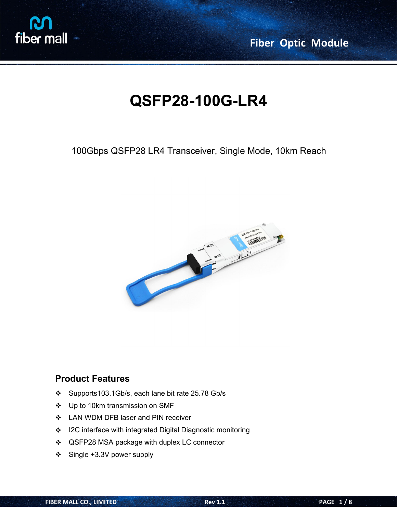

**Fiber Optic Module**

# **QSFP28-100G-LR4**

#### 100Gbps QSFP28 LR4 Transceiver, Single Mode, 10km Reach



#### **Product Features**

- Supports103.1Gb/s, each lane bit rate 25.78 Gb/s
- ❖ Up to 10km transmission on SMF
- ❖ LAN WDM DFB laser and PIN receiver
- ❖ I2C interface with integrated Digital Diagnostic monitoring
- ❖ QSFP28 MSA package with duplex LC connector
- $\div$  Single +3.3V power supply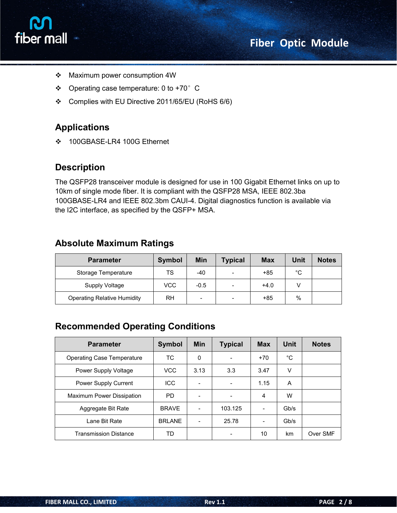



- Maximum power consumption 4W
- $\div$  Operating case temperature: 0 to +70° C
- Complies with EU Directive 2011/65/EU (RoHS 6/6)

#### **Applications**

100GBASE-LR4 100G Ethernet

#### **Description**

The QSFP28 transceiver module is designed for use in 100 Gigabit Ethernet links on up to 10km of single mode fiber. It is compliant with the QSFP28 MSA, IEEE 802.3ba 100GBASE-LR4 and IEEE 802.3bm CAUI-4. Digital diagnostics function is available via the I2C interface, as specified by the QSFP+ MSA.

#### **Absolute Maximum Ratings**

| <b>Parameter</b>                   | <b>Symbol</b> | Min                      | <b>Typical</b>           | <b>Max</b> | <b>Unit</b> | <b>Notes</b> |
|------------------------------------|---------------|--------------------------|--------------------------|------------|-------------|--------------|
| Storage Temperature                | <b>TS</b>     | -40                      | $\overline{\phantom{a}}$ | +85        | °C          |              |
| Supply Voltage                     | <b>VCC</b>    | $-0.5$                   |                          | $+4.0$     |             |              |
| <b>Operating Relative Humidity</b> | <b>RH</b>     | $\overline{\phantom{0}}$ |                          | +85        | %           |              |

#### **Recommended Operating Conditions**

| <b>Parameter</b>                  | Symbol        | Min                      | <b>Typical</b>           | <b>Max</b> | <b>Unit</b> | <b>Notes</b> |
|-----------------------------------|---------------|--------------------------|--------------------------|------------|-------------|--------------|
| <b>Operating Case Temperature</b> | TC.           | $\Omega$                 | -                        | $+70$      | °C          |              |
| Power Supply Voltage              | <b>VCC</b>    | 3.13                     | 3.3                      | 3.47       | V           |              |
| Power Supply Current              | <b>ICC</b>    |                          | $\overline{\phantom{a}}$ | 1.15       | A           |              |
| Maximum Power Dissipation         | PD.           | $\overline{\phantom{a}}$ | -                        | 4          | W           |              |
| Aggregate Bit Rate                | <b>BRAVE</b>  | $\overline{\phantom{a}}$ | 103.125                  | -          | Gb/s        |              |
| Lane Bit Rate                     | <b>BRLANE</b> | $\overline{\phantom{a}}$ | 25.78                    |            | Gb/s        |              |
| <b>Transmission Distance</b>      | <b>TD</b>     |                          |                          | 10         | km          | Over SMF     |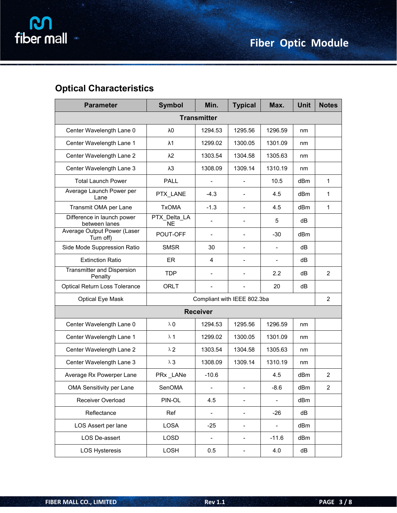

### **Optical Characteristics**

| <b>Parameter</b>                             | <b>Symbol</b>             | Min.                         | <b>Typical</b>               | Max.                     | <b>Unit</b>     | <b>Notes</b>   |  |  |
|----------------------------------------------|---------------------------|------------------------------|------------------------------|--------------------------|-----------------|----------------|--|--|
| <b>Transmitter</b>                           |                           |                              |                              |                          |                 |                |  |  |
| Center Wavelength Lane 0                     | λ0                        | 1294.53                      | 1295.56                      | 1296.59                  | nm              |                |  |  |
| Center Wavelength Lane 1                     | $\lambda$ 1               | 1299.02                      | 1300.05                      | 1301.09                  | nm              |                |  |  |
| Center Wavelength Lane 2                     | $\lambda$ 2               | 1303.54                      | 1304.58                      | 1305.63                  | nm              |                |  |  |
| Center Wavelength Lane 3                     | $\lambda$ 3               | 1308.09                      | 1309.14                      | 1310.19                  | nm              |                |  |  |
| <b>Total Launch Power</b>                    | <b>PALL</b>               |                              |                              | 10.5                     | dBm             | $\mathbf 1$    |  |  |
| Average Launch Power per<br>Lane             | PTX_LANE                  | $-4.3$                       | $\overline{\phantom{0}}$     | 4.5                      | dBm             | 1              |  |  |
| Transmit OMA per Lane                        | <b>TxOMA</b>              | $-1.3$                       | $\overline{\phantom{0}}$     | 4.5                      | dBm             | 1              |  |  |
| Difference in launch power<br>between lanes  | PTX_Delta_LA<br><b>NE</b> | $\overline{a}$               | $\overline{\phantom{0}}$     | 5                        | dB              |                |  |  |
| Average Output Power (Laser<br>Turn off)     | POUT-OFF                  | $\qquad \qquad \blacksquare$ | $\qquad \qquad \blacksquare$ | $-30$                    | dB <sub>m</sub> |                |  |  |
| Side Mode Suppression Ratio                  | <b>SMSR</b>               | 30                           | $\overline{\phantom{0}}$     | $\blacksquare$           | dB              |                |  |  |
| <b>Extinction Ratio</b>                      | ER                        | 4                            | $\overline{\phantom{0}}$     | $\overline{\phantom{0}}$ | dB              |                |  |  |
| <b>Transmitter and Dispersion</b><br>Penalty | <b>TDP</b>                | $\overline{\phantom{m}}$     | $\overline{\phantom{0}}$     | 2.2                      | dB              | $\overline{2}$ |  |  |
| Optical Return Loss Tolerance                | <b>ORLT</b>               | $\overline{a}$               | $\overline{\phantom{0}}$     | 20                       | dB              |                |  |  |
| Optical Eye Mask                             |                           |                              | Compliant with IEEE 802.3ba  |                          |                 | $\overline{2}$ |  |  |
| <b>Receiver</b>                              |                           |                              |                              |                          |                 |                |  |  |
| Center Wavelength Lane 0                     | $\lambda$ 0               | 1294.53                      | 1295.56                      | 1296.59                  | nm              |                |  |  |
| Center Wavelength Lane 1                     | $\lambda$ 1               | 1299.02                      | 1300.05                      | 1301.09                  | nm              |                |  |  |
| Center Wavelength Lane 2                     | $\lambda$ 2               | 1303.54                      | 1304.58                      | 1305.63                  | nm              |                |  |  |
| Center Wavelength Lane 3                     | $\lambda$ $3$             | 1308.09                      | 1309.14                      | 1310.19                  | nm              |                |  |  |
| Average Rx Powerper Lane                     | PRx_LANe                  | $-10.6$                      |                              | 4.5                      | dBm             | $\overline{2}$ |  |  |
| OMA Sensitivity per Lane                     | SenOMA                    | -                            |                              | $-8.6$                   | dBm             | $\overline{2}$ |  |  |
| Receiver Overload                            | PIN-OL                    | 4.5                          | $\overline{\phantom{0}}$     | $\blacksquare$           | dBm             |                |  |  |
| Reflectance                                  | Ref                       | $\overline{\phantom{0}}$     | $\overline{\phantom{0}}$     | $-26$                    | dB              |                |  |  |
| LOS Assert per lane                          | LOSA                      | $-25$                        | $\overline{\phantom{0}}$     | $\overline{\phantom{0}}$ | dBm             |                |  |  |
| LOS De-assert                                | LOSD                      | $\blacksquare$               | $\overline{\phantom{a}}$     | $-11.6$                  | dBm             |                |  |  |
| <b>LOS Hysteresis</b>                        | LOSH                      | 0.5                          | $\qquad \qquad -$            | 4.0                      | dB              |                |  |  |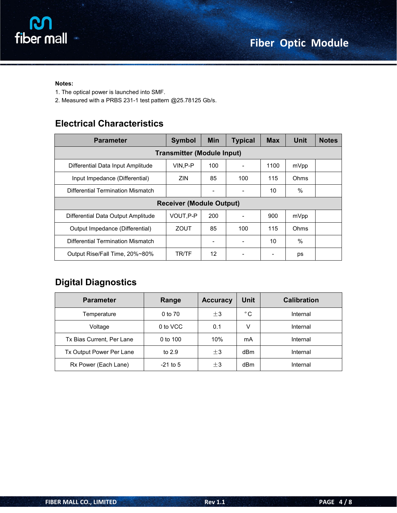

#### **Notes:**

- 1. The optical power is launched into SMF.
- 2. Measured with a PRBS 231-1 test pattern @25.78125 Gb/s.

#### **Electrical Characteristics**

| <b>Parameter</b>                   | <b>Symbol</b>                     | <b>Min</b>               | <b>Typical</b>           | <b>Max</b> | Unit | <b>Notes</b> |
|------------------------------------|-----------------------------------|--------------------------|--------------------------|------------|------|--------------|
|                                    | <b>Transmitter (Module Input)</b> |                          |                          |            |      |              |
| Differential Data Input Amplitude  | VIN.P-P                           | 100                      |                          | 1100       | mVpp |              |
| Input Impedance (Differential)     | <b>ZIN</b>                        | 85                       | 100                      | 115        | Ohms |              |
| Differential Termination Mismatch  |                                   | -                        |                          | 10         | $\%$ |              |
| <b>Receiver (Module Output)</b>    |                                   |                          |                          |            |      |              |
| Differential Data Output Amplitude | VOUT, P-P                         | 200                      |                          | 900        | mVpp |              |
| Output Impedance (Differential)    | ZOUT                              | 85                       | 100                      | 115        | Ohms |              |
| Differential Termination Mismatch  |                                   | $\overline{\phantom{a}}$ | $\overline{\phantom{a}}$ | 10         | $\%$ |              |
| Output Rise/Fall Time, 20%~80%     | TR/TF                             | 12                       |                          |            | ps   |              |

#### **Digital Diagnostics**

| <b>Parameter</b>          | Range      | <b>Accuracy</b> | <b>Unit</b>  | <b>Calibration</b> |
|---------------------------|------------|-----------------|--------------|--------------------|
| Temperature               | 0 to 70    | $\pm$ 3         | $^{\circ}$ C | Internal           |
| Voltage                   | 0 to VCC   | 0.1             | v            | Internal           |
| Tx Bias Current, Per Lane | 0 to $100$ | 10%             | mA           | Internal           |
| Tx Output Power Per Lane  | to $2.9$   | $\pm$ 3         | dBm          | Internal           |
| Rx Power (Each Lane)      | $-21$ to 5 | $\pm$ 3         | dBm          | Internal           |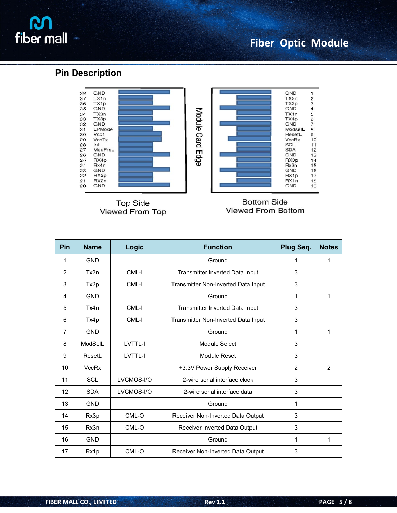# **M**<br>fiber mall

## **Fiber Optic Module**

#### **Pin Description**



| Pin            | <b>Name</b>  | Logic      | <b>Function</b>                     | Plug Seq.      | <b>Notes</b> |
|----------------|--------------|------------|-------------------------------------|----------------|--------------|
| 1              | <b>GND</b>   |            | Ground                              | 1              | 1            |
| $\overline{2}$ | Tx2n         | CML-I      | Transmitter Inverted Data Input     | 3              |              |
| 3              | Tx2p         | CML-I      | Transmitter Non-Inverted Data Input | 3              |              |
| 4              | <b>GND</b>   |            | Ground                              | 1              | 1            |
| 5              | Tx4n         | CML-I      | Transmitter Inverted Data Input     | 3              |              |
| 6              | Tx4p         | CML-I      | Transmitter Non-Inverted Data Input | 3              |              |
| $\overline{7}$ | <b>GND</b>   |            | Ground                              | 1              | 1            |
| 8              | ModSelL      | LVTTL-I    | Module Select                       | 3              |              |
| 9              | ResetL       | LVTTL-I    | Module Reset                        | 3              |              |
| 10             | <b>VccRx</b> |            | +3.3V Power Supply Receiver         | $\overline{2}$ | 2            |
| 11             | <b>SCL</b>   | LVCMOS-I/O | 2-wire serial interface clock       | 3              |              |
| 12             | <b>SDA</b>   | LVCMOS-I/O | 2-wire serial interface data        | 3              |              |
| 13             | <b>GND</b>   |            | Ground                              | 1              |              |
| 14             | Rx3p         | CML-O      | Receiver Non-Inverted Data Output   | 3              |              |
| 15             | Rx3n         | CML-O      | Receiver Inverted Data Output       | 3              |              |
| 16             | <b>GND</b>   |            | Ground                              | 1              | 1            |
| 17             | Rx1p         | CML-O      | Receiver Non-Inverted Data Output   | 3              |              |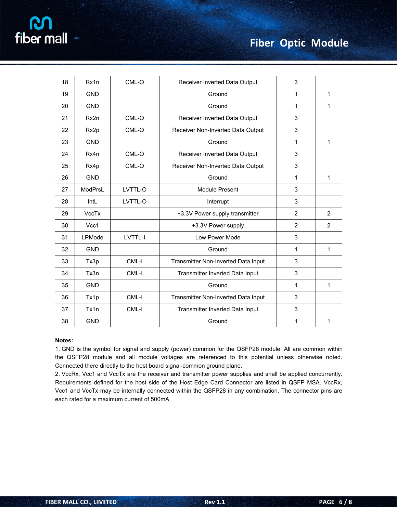| 18 | Rx1n         | CML-O   | Receiver Inverted Data Output       | 3              |                |
|----|--------------|---------|-------------------------------------|----------------|----------------|
| 19 | <b>GND</b>   |         | Ground                              | $\mathbf{1}$   | $\mathbf{1}$   |
|    |              |         |                                     |                |                |
| 20 | <b>GND</b>   |         | Ground                              | $\mathbf{1}$   | $\mathbf{1}$   |
| 21 | Rx2n         | CML-O   | Receiver Inverted Data Output       | 3              |                |
| 22 | Rx2p         | CML-O   | Receiver Non-Inverted Data Output   | 3              |                |
| 23 | <b>GND</b>   |         | Ground                              | $\mathbf{1}$   | $\mathbf{1}$   |
| 24 | Rx4n         | $CML-O$ | Receiver Inverted Data Output       | 3              |                |
| 25 | Rx4p         | CML-O   | Receiver Non-Inverted Data Output   | 3              |                |
| 26 | <b>GND</b>   |         | Ground                              | $\mathbf{1}$   | $\mathbf{1}$   |
| 27 | ModPrsL      | LVTTL-O | <b>Module Present</b>               | 3              |                |
| 28 | IntL         | LVTTL-O | Interrupt                           | 3              |                |
| 29 | <b>VccTx</b> |         | +3.3V Power supply transmitter      | $\overline{2}$ | $\overline{2}$ |
| 30 | Vcc1         |         | +3.3V Power supply                  | $\overline{2}$ | $\overline{2}$ |
| 31 | LPMode       | LVTTL-I | Low Power Mode                      | 3              |                |
| 32 | <b>GND</b>   |         | Ground                              | 1              | $\mathbf{1}$   |
| 33 | Tx3p         | CML-I   | Transmitter Non-Inverted Data Input | 3              |                |
| 34 | Tx3n         | CML-I   | Transmitter Inverted Data Input     | 3              |                |
| 35 | <b>GND</b>   |         | Ground                              | $\mathbf{1}$   | $\mathbf{1}$   |
| 36 | Tx1p         | CML-I   | Transmitter Non-Inverted Data Input | 3              |                |
| 37 | Tx1n         | CML-I   | Transmitter Inverted Data Input     | 3              |                |
| 38 | <b>GND</b>   |         | Ground                              | 1              | 1              |

#### **Notes:**

1. GND is the symbol for signal and supply (power) common for the QSFP28 module. All are common within the QSFP28 module and all module voltages are referenced to this potential unless otherwise noted. Connected there directly to the host board signal-common ground plane.

2. VccRx, Vcc1 and VccTx are the receiver and transmitter power supplies and shall be applied concurrently. Requirements defined for the host side of the Host Edge Card Connector are listed in QSFP MSA. VccRx, Vcc1 and VccTx may be internally connected within the QSFP28 in any combination. The connector pins are each rated for a maximum current of 500mA.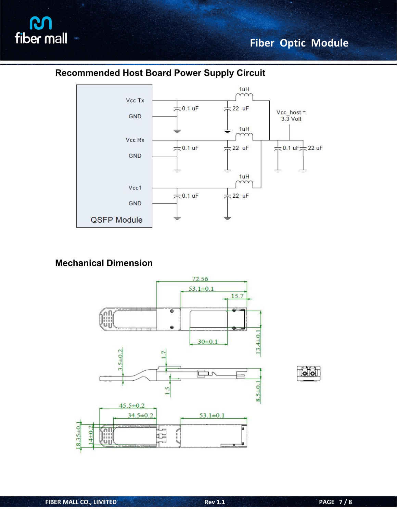![](_page_6_Picture_0.jpeg)

## **Fiber Optic Module**

#### **Recommended Host Board Power Supply Circuit**

![](_page_6_Figure_3.jpeg)

#### **Mechanical Dimension**

![](_page_6_Figure_5.jpeg)

![](_page_6_Picture_6.jpeg)